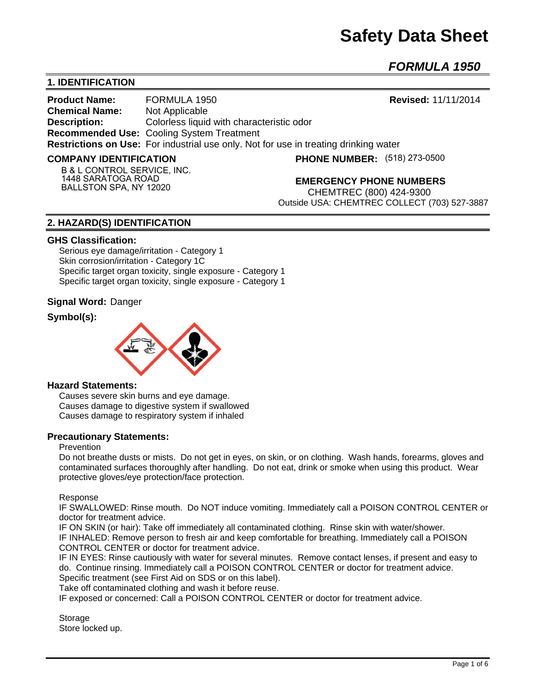# **Safety Data Sheet**

*FORMULA 1950* 

# **1. IDENTIFICATION**

**Product Name:** FORMULA 1950 **Revised:** 11/11/2014 **Chemical Name:** Not Applicable **Description:** Colorless liquid with characteristic odor **Recommended Use:** Cooling System Treatment **Restrictions on Use:** For industrial use only. Not for use in treating drinking water

#### **COMPANY IDENTIFICATION**

**PHONE NUMBER:** (518) 273-0500

**B & L CONTROL SERVICE, INC. 1448 SARATOGA ROAD BALLSTON SPA, NY 12020**

**EMERGENCY PHONE NUMBERS**

CHEMTREC (800) 424-9300 Outside USA: CHEMTREC COLLECT (703) 527-3887

# **2. HAZARD(S) IDENTIFICATION**

#### **GHS Classification:**

Serious eye damage/irritation - Category 1 Skin corrosion/irritation - Category 1C Specific target organ toxicity, single exposure - Category 1 Specific target organ toxicity, single exposure - Category 1

# **Signal Word:** Danger

# **Symbol(s):**



#### **Hazard Statements:**

Causes severe skin burns and eye damage. Causes damage to digestive system if swallowed Causes damage to respiratory system if inhaled

#### **Precautionary Statements:**

# Prevention

Do not breathe dusts or mists. Do not get in eyes, on skin, or on clothing. Wash hands, forearms, gloves and contaminated surfaces thoroughly after handling. Do not eat, drink or smoke when using this product. Wear protective gloves/eye protection/face protection.

Response

IF SWALLOWED: Rinse mouth. Do NOT induce vomiting. Immediately call a POISON CONTROL CENTER or doctor for treatment advice.

IF ON SKIN (or hair): Take off immediately all contaminated clothing. Rinse skin with water/shower. IF INHALED: Remove person to fresh air and keep comfortable for breathing. Immediately call a POISON CONTROL CENTER or doctor for treatment advice.

IF IN EYES: Rinse cautiously with water for several minutes. Remove contact lenses, if present and easy to do. Continue rinsing. Immediately call a POISON CONTROL CENTER or doctor for treatment advice. Specific treatment (see First Aid on SDS or on this label).

Take off contaminated clothing and wash it before reuse.

IF exposed or concerned: Call a POISON CONTROL CENTER or doctor for treatment advice.

Storage Store locked up.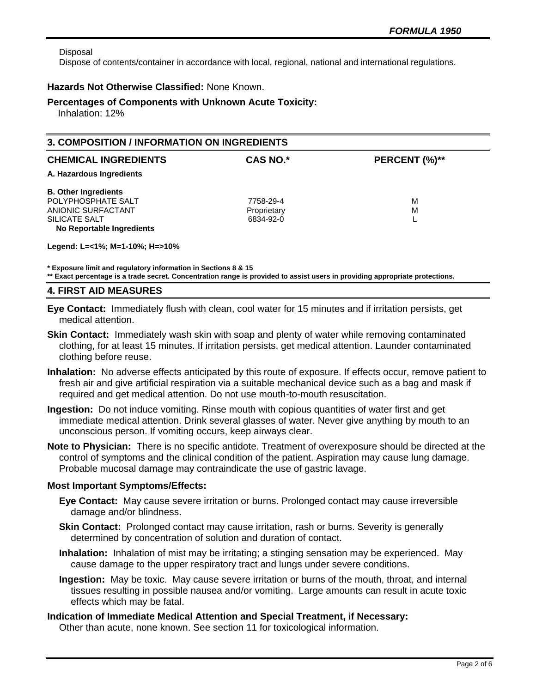Disposal

Dispose of contents/container in accordance with local, regional, national and international regulations.

# **Hazards Not Otherwise Classified:** None Known.

#### **Percentages of Components with Unknown Acute Toxicity:**

Inhalation: 12%

### **3. COMPOSITION / INFORMATION ON INGREDIENTS**

| <b>CHEMICAL INGREDIENTS</b> | <b>CAS NO.*</b> | PERCENT (%)** |
|-----------------------------|-----------------|---------------|
| A. Hazardous Ingredients    |                 |               |
| <b>B. Other Ingredients</b> |                 |               |
| POLYPHOSPHATE SALT          | 7758-29-4       | м             |
| ANIONIC SURFACTANT          | Proprietary     | м             |
| SILICATE SALT               | 6834-92-0       |               |
| No Reportable Ingredients   |                 |               |

**Legend: L=<1%; M=1-10%; H=>10%**

**\* Exposure limit and regulatory information in Sections 8 & 15**

**\*\* Exact percentage is a trade secret. Concentration range is provided to assist users in providing appropriate protections.**

# **4. FIRST AID MEASURES**

**Eye Contact:** Immediately flush with clean, cool water for 15 minutes and if irritation persists, get medical attention.

- **Skin Contact:** Immediately wash skin with soap and plenty of water while removing contaminated clothing, for at least 15 minutes. If irritation persists, get medical attention. Launder contaminated clothing before reuse.
- **Inhalation:** No adverse effects anticipated by this route of exposure. If effects occur, remove patient to fresh air and give artificial respiration via a suitable mechanical device such as a bag and mask if required and get medical attention. Do not use mouth-to-mouth resuscitation.
- **Ingestion:** Do not induce vomiting. Rinse mouth with copious quantities of water first and get immediate medical attention. Drink several glasses of water. Never give anything by mouth to an unconscious person. If vomiting occurs, keep airways clear.
- **Note to Physician:** There is no specific antidote. Treatment of overexposure should be directed at the control of symptoms and the clinical condition of the patient. Aspiration may cause lung damage. Probable mucosal damage may contraindicate the use of gastric lavage.

# **Most Important Symptoms/Effects:**

- **Eye Contact:** May cause severe irritation or burns. Prolonged contact may cause irreversible damage and/or blindness.
- **Skin Contact:** Prolonged contact may cause irritation, rash or burns. Severity is generally determined by concentration of solution and duration of contact.
- **Inhalation:** Inhalation of mist may be irritating; a stinging sensation may be experienced. May cause damage to the upper respiratory tract and lungs under severe conditions.
- **Ingestion:** May be toxic. May cause severe irritation or burns of the mouth, throat, and internal tissues resulting in possible nausea and/or vomiting. Large amounts can result in acute toxic effects which may be fatal.

#### **Indication of Immediate Medical Attention and Special Treatment, if Necessary:** Other than acute, none known. See section 11 for toxicological information.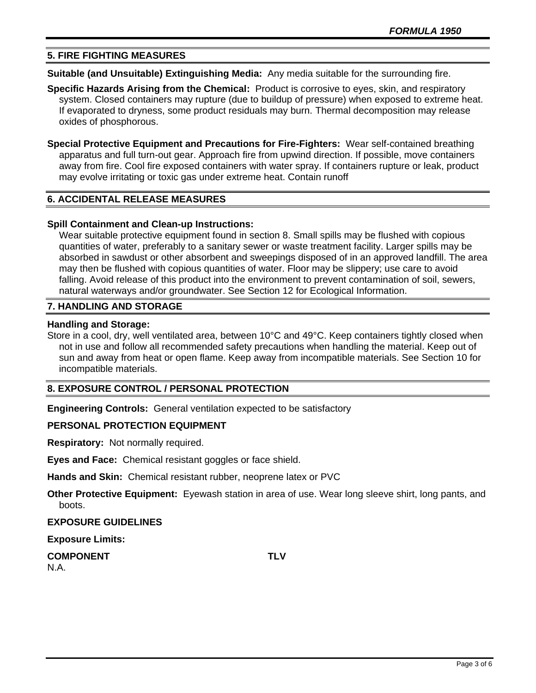# **5. FIRE FIGHTING MEASURES**

**Suitable (and Unsuitable) Extinguishing Media:** Any media suitable for the surrounding fire.

**Specific Hazards Arising from the Chemical:** Product is corrosive to eyes, skin, and respiratory system. Closed containers may rupture (due to buildup of pressure) when exposed to extreme heat. If evaporated to dryness, some product residuals may burn. Thermal decomposition may release oxides of phosphorous.

**Special Protective Equipment and Precautions for Fire-Fighters:** Wear self-contained breathing apparatus and full turn-out gear. Approach fire from upwind direction. If possible, move containers away from fire. Cool fire exposed containers with water spray. If containers rupture or leak, product may evolve irritating or toxic gas under extreme heat. Contain runoff

# **6. ACCIDENTAL RELEASE MEASURES**

#### **Spill Containment and Clean-up Instructions:**

Wear suitable protective equipment found in section 8. Small spills may be flushed with copious quantities of water, preferably to a sanitary sewer or waste treatment facility. Larger spills may be absorbed in sawdust or other absorbent and sweepings disposed of in an approved landfill. The area may then be flushed with copious quantities of water. Floor may be slippery; use care to avoid falling. Avoid release of this product into the environment to prevent contamination of soil, sewers, natural waterways and/or groundwater. See Section 12 for Ecological Information.

#### **7. HANDLING AND STORAGE**

#### **Handling and Storage:**

Store in a cool, dry, well ventilated area, between 10°C and 49°C. Keep containers tightly closed when not in use and follow all recommended safety precautions when handling the material. Keep out of sun and away from heat or open flame. Keep away from incompatible materials. See Section 10 for incompatible materials.

# **8. EXPOSURE CONTROL / PERSONAL PROTECTION**

**Engineering Controls:** General ventilation expected to be satisfactory

# **PERSONAL PROTECTION EQUIPMENT**

**Respiratory:** Not normally required.

**Eyes and Face:** Chemical resistant goggles or face shield.

**Hands and Skin:** Chemical resistant rubber, neoprene latex or PVC

**Other Protective Equipment:** Eyewash station in area of use. Wear long sleeve shirt, long pants, and boots.

**EXPOSURE GUIDELINES**

**Exposure Limits:** 

**COMPONENT TLV** N.A.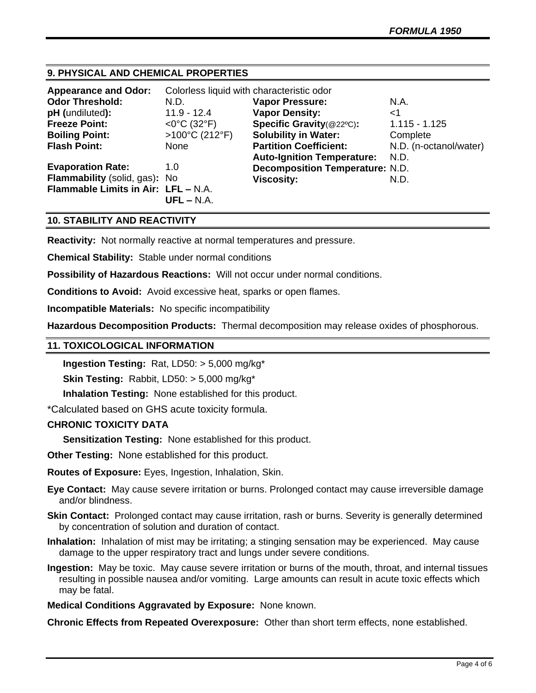# **9. PHYSICAL AND CHEMICAL PROPERTIES**

| <b>Appearance and Odor:</b>         | Colorless liquid with characteristic odor |                                        |                        |
|-------------------------------------|-------------------------------------------|----------------------------------------|------------------------|
| <b>Odor Threshold:</b>              | N.D.                                      | <b>Vapor Pressure:</b>                 | N.A.                   |
| pH (undiluted):                     | $11.9 - 12.4$                             | <b>Vapor Density:</b>                  | <1                     |
| <b>Freeze Point:</b>                | $<$ 0°C (32°F)                            | Specific Gravity(@22°C):               | $1.115 - 1.125$        |
| <b>Boiling Point:</b>               | $>100^{\circ}$ C (212°F)                  | <b>Solubility in Water:</b>            | Complete               |
| <b>Flash Point:</b>                 | None                                      | <b>Partition Coefficient:</b>          | N.D. (n-octanol/water) |
|                                     |                                           | <b>Auto-Ignition Temperature:</b>      | N.D.                   |
| <b>Evaporation Rate:</b>            | 1.0                                       | <b>Decomposition Temperature: N.D.</b> |                        |
| Flammability (solid, gas): No       |                                           | <b>Viscosity:</b>                      | N.D.                   |
| Flammable Limits in Air: LFL - N.A. |                                           |                                        |                        |
|                                     | $UFL - N.A.$                              |                                        |                        |

# **10. STABILITY AND REACTIVITY**

**Reactivity:** Not normally reactive at normal temperatures and pressure.

**Chemical Stability:** Stable under normal conditions

**Possibility of Hazardous Reactions:** Will not occur under normal conditions.

**Conditions to Avoid:** Avoid excessive heat, sparks or open flames.

**Incompatible Materials:** No specific incompatibility

**Hazardous Decomposition Products:** Thermal decomposition may release oxides of phosphorous.

#### **11. TOXICOLOGICAL INFORMATION**

**Ingestion Testing:** Rat, LD50: > 5,000 mg/kg\*

**Skin Testing:** Rabbit, LD50: > 5,000 mg/kg\*

**Inhalation Testing:** None established for this product.

\*Calculated based on GHS acute toxicity formula.

# **CHRONIC TOXICITY DATA**

**Sensitization Testing:** None established for this product.

**Other Testing:** None established for this product.

**Routes of Exposure:** Eyes, Ingestion, Inhalation, Skin.

**Eye Contact:** May cause severe irritation or burns. Prolonged contact may cause irreversible damage and/or blindness.

**Skin Contact:** Prolonged contact may cause irritation, rash or burns. Severity is generally determined by concentration of solution and duration of contact.

**Inhalation:** Inhalation of mist may be irritating; a stinging sensation may be experienced. May cause damage to the upper respiratory tract and lungs under severe conditions.

**Ingestion:** May be toxic. May cause severe irritation or burns of the mouth, throat, and internal tissues resulting in possible nausea and/or vomiting. Large amounts can result in acute toxic effects which may be fatal.

**Medical Conditions Aggravated by Exposure:** None known.

**Chronic Effects from Repeated Overexposure:** Other than short term effects, none established.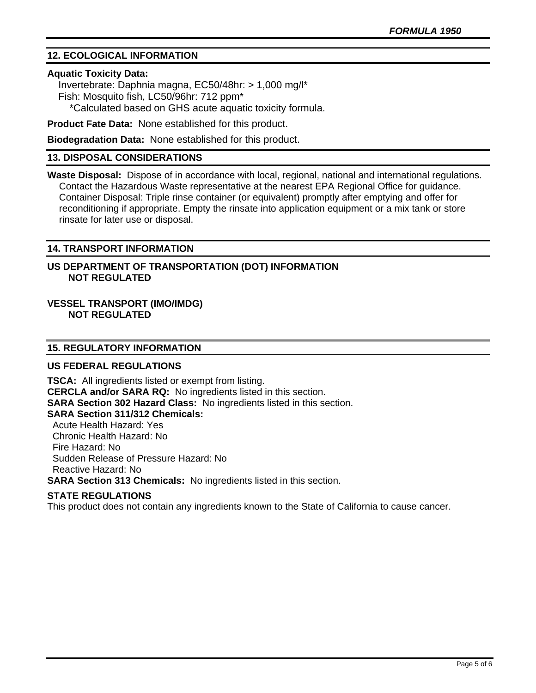# **12. ECOLOGICAL INFORMATION**

# **Aquatic Toxicity Data:**

 Invertebrate: Daphnia magna, EC50/48hr: > 1,000 mg/l\* Fish: Mosquito fish, LC50/96hr: 712 ppm\* \*Calculated based on GHS acute aquatic toxicity formula.

**Product Fate Data:** None established for this product.

**Biodegradation Data:** None established for this product.

# **13. DISPOSAL CONSIDERATIONS**

**Waste Disposal:** Dispose of in accordance with local, regional, national and international regulations. Contact the Hazardous Waste representative at the nearest EPA Regional Office for guidance. Container Disposal: Triple rinse container (or equivalent) promptly after emptying and offer for reconditioning if appropriate. Empty the rinsate into application equipment or a mix tank or store rinsate for later use or disposal.

# **14. TRANSPORT INFORMATION**

# **US DEPARTMENT OF TRANSPORTATION (DOT) INFORMATION NOT REGULATED**

**VESSEL TRANSPORT (IMO/IMDG) NOT REGULATED**

# **15. REGULATORY INFORMATION**

# **US FEDERAL REGULATIONS**

**TSCA:** All ingredients listed or exempt from listing. **CERCLA and/or SARA RQ:** No ingredients listed in this section. **SARA Section 302 Hazard Class:** No ingredients listed in this section. **SARA Section 311/312 Chemicals:**  Acute Health Hazard: Yes Chronic Health Hazard: No Fire Hazard: No Sudden Release of Pressure Hazard: No Reactive Hazard: No **SARA Section 313 Chemicals:** No ingredients listed in this section.

# **STATE REGULATIONS**

This product does not contain any ingredients known to the State of California to cause cancer.